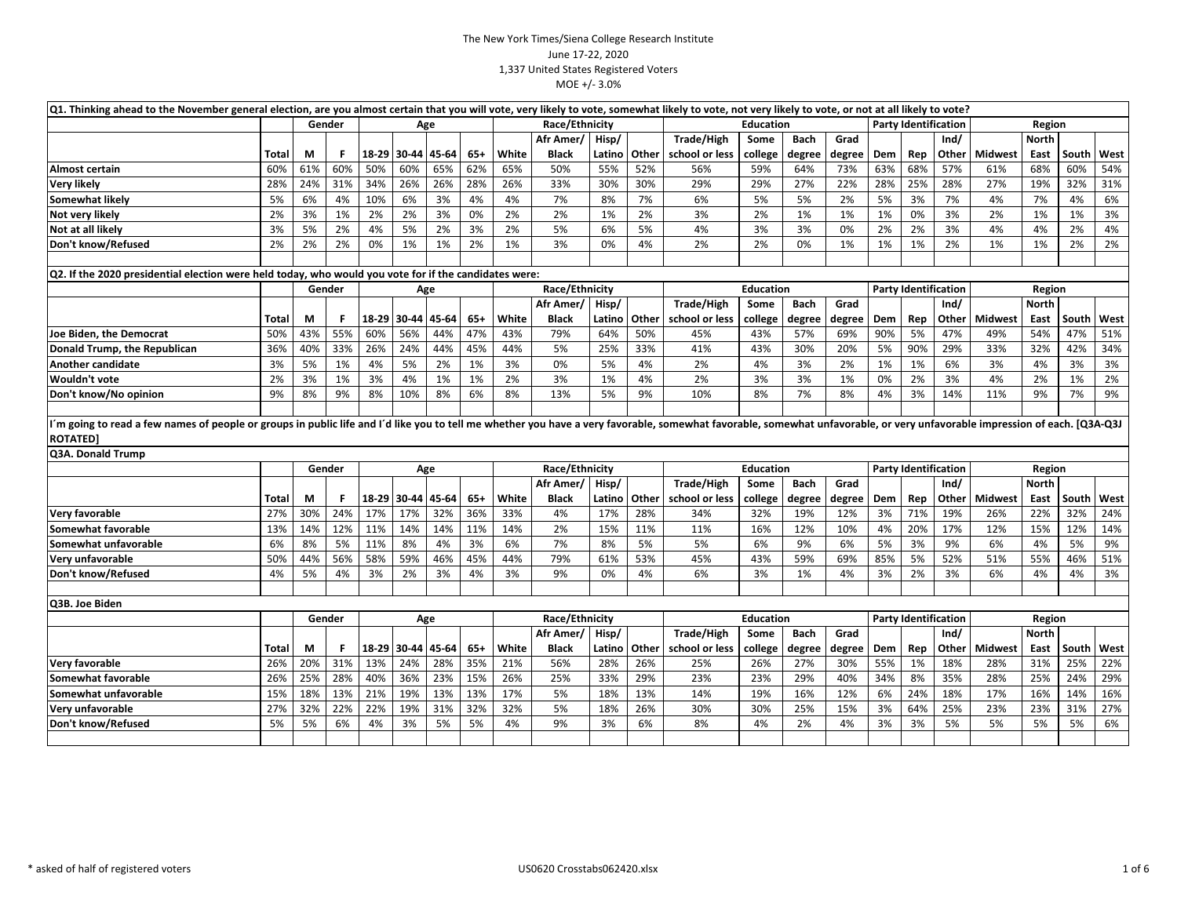| Q1. Thinking ahead to the November general election, are you almost certain that you will vote, very likely to vote, somewhat likely to vote, not very likely to vote, or not at all likely to vote?                       |       |     |        |     |             |       |       |       |                |        |       |                |                  |             |        |     |     |                             |                |              |       |      |
|----------------------------------------------------------------------------------------------------------------------------------------------------------------------------------------------------------------------------|-------|-----|--------|-----|-------------|-------|-------|-------|----------------|--------|-------|----------------|------------------|-------------|--------|-----|-----|-----------------------------|----------------|--------------|-------|------|
|                                                                                                                                                                                                                            |       |     | Gender |     |             | Age   |       |       | Race/Ethnicity |        |       |                | <b>Education</b> |             |        |     |     | <b>Party Identification</b> |                | Region       |       |      |
|                                                                                                                                                                                                                            |       |     |        |     |             |       |       |       | Afr Amer/      | Hisp/  |       | Trade/High     | Some             | <b>Bach</b> | Grad   |     |     | Ind/                        |                | <b>North</b> |       |      |
|                                                                                                                                                                                                                            | Total | М   | F.     |     | 18-29 30-44 | 45-64 | $65+$ | White | <b>Black</b>   | Latino | Other | school or less | college          | degree      | degree | Dem | Rep | Other                       | <b>Midwest</b> | East         | South | West |
| Almost certain                                                                                                                                                                                                             | 60%   | 61% | 60%    | 50% | 60%         | 65%   | 62%   | 65%   | 50%            | 55%    | 52%   | 56%            | 59%              | 64%         | 73%    | 63% | 68% | 57%                         | 61%            | 68%          | 60%   | 54%  |
| Very likely                                                                                                                                                                                                                | 28%   | 24% | 31%    | 34% | 26%         | 26%   | 28%   | 26%   | 33%            | 30%    | 30%   | 29%            | 29%              | 27%         | 22%    | 28% | 25% | 28%                         | 27%            | 19%          | 32%   | 31%  |
| Somewhat likely                                                                                                                                                                                                            | 5%    | 6%  | 4%     | 10% | 6%          | 3%    | 4%    | 4%    | 7%             | 8%     | 7%    | 6%             | 5%               | 5%          | 2%     | 5%  | 3%  | 7%                          | 4%             | 7%           | 4%    | 6%   |
| Not very likely                                                                                                                                                                                                            | 2%    | 3%  | 1%     | 2%  | 2%          | 3%    | 0%    | 2%    | 2%             | 1%     | 2%    | 3%             | 2%               | 1%          | 1%     | 1%  | 0%  | 3%                          | 2%             | 1%           | 1%    | 3%   |
| Not at all likely                                                                                                                                                                                                          | 3%    | 5%  | 2%     | 4%  | 5%          | 2%    | 3%    | 2%    | 5%             | 6%     | 5%    | 4%             | 3%               | 3%          | 0%     | 2%  | 2%  | 3%                          | 4%             | 4%           | 2%    | 4%   |
| Don't know/Refused                                                                                                                                                                                                         | 2%    | 2%  | 2%     | 0%  | 1%          | 1%    | 2%    | 1%    | 3%             | 0%     | 4%    | 2%             | 2%               | 0%          | 1%     | 1%  | 1%  | 2%                          | 1%             | 1%           | 2%    | 2%   |
|                                                                                                                                                                                                                            |       |     |        |     |             |       |       |       |                |        |       |                |                  |             |        |     |     |                             |                |              |       |      |
| Q2. If the 2020 presidential election were held today, who would you vote for if the candidates were:                                                                                                                      |       |     |        |     |             |       |       |       |                |        |       |                |                  |             |        |     |     |                             |                |              |       |      |
|                                                                                                                                                                                                                            |       |     | Gender |     |             | Age   |       |       | Race/Ethnicity |        |       |                | <b>Education</b> |             |        |     |     | <b>Party Identification</b> |                | Region       |       |      |
|                                                                                                                                                                                                                            |       |     |        |     |             |       |       |       | Afr Amer/      | Hisp/  |       | Trade/High     | Some             | <b>Bach</b> | Grad   |     |     | Ind/                        |                | <b>North</b> |       |      |
|                                                                                                                                                                                                                            | Total | М   | F.     |     | 18-29 30-44 | 45-64 | $65+$ | White | <b>Black</b>   | Latino | Other | school or less | college          | degree      | degree | Dem | Rep | Other                       | Midwest        | East         | South | West |
| Joe Biden, the Democrat                                                                                                                                                                                                    | 50%   | 43% | 55%    | 60% | 56%         | 44%   | 47%   | 43%   | 79%            | 64%    | 50%   | 45%            | 43%              | 57%         | 69%    | 90% | 5%  | 47%                         | 49%            | 54%          | 47%   | 51%  |
| Donald Trump, the Republican                                                                                                                                                                                               | 36%   | 40% | 33%    | 26% | 24%         | 44%   | 45%   | 44%   | 5%             | 25%    | 33%   | 41%            | 43%              | 30%         | 20%    | 5%  | 90% | 29%                         | 33%            | 32%          | 42%   | 34%  |
| Another candidate                                                                                                                                                                                                          | 3%    | 5%  | 1%     | 4%  | 5%          | 2%    | 1%    | 3%    | 0%             | 5%     | 4%    | 2%             | 4%               | 3%          | 2%     | 1%  | 1%  | 6%                          | 3%             | 4%           | 3%    | 3%   |
| Wouldn't vote                                                                                                                                                                                                              | 2%    | 3%  | 1%     | 3%  | 4%          | 1%    | 1%    | 2%    | 3%             | 1%     | 4%    | 2%             | 3%               | 3%          | 1%     | 0%  | 2%  | 3%                          | 4%             | 2%           | 1%    | 2%   |
| Don't know/No opinion                                                                                                                                                                                                      | 9%    | 8%  | 9%     | 8%  | 10%         | 8%    | 6%    | 8%    | 13%            | 5%     | 9%    | 10%            | 8%               | 7%          | 8%     | 4%  | 3%  | 14%                         | 11%            | 9%           | 7%    | 9%   |
|                                                                                                                                                                                                                            |       |     |        |     |             |       |       |       |                |        |       |                |                  |             |        |     |     |                             |                |              |       |      |
| I'm going to read a few names of people or groups in public life and I'd like you to tell me whether you have a very favorable, somewhat favorable, somewhat unfavorable, or very unfavorable impression of each. [Q3A-Q3J |       |     |        |     |             |       |       |       |                |        |       |                |                  |             |        |     |     |                             |                |              |       |      |
| <b>ROTATED]</b>                                                                                                                                                                                                            |       |     |        |     |             |       |       |       |                |        |       |                |                  |             |        |     |     |                             |                |              |       |      |
| Q3A. Donald Trump                                                                                                                                                                                                          |       |     |        |     |             |       |       |       |                |        |       |                |                  |             |        |     |     |                             |                |              |       |      |
|                                                                                                                                                                                                                            |       |     | Gender |     |             | Age   |       |       | Race/Ethnicity |        |       |                | <b>Education</b> |             |        |     |     | <b>Party Identification</b> |                | Region       |       |      |
|                                                                                                                                                                                                                            |       |     |        |     |             |       |       |       | Afr Amer/      | Hisp/  |       | Trade/High     | Some             | Bach        | Grad   |     |     | Ind/                        |                | <b>North</b> |       |      |
|                                                                                                                                                                                                                            | Total | М   | F.     |     | 18-29 30-44 | 45-64 | $65+$ | White | <b>Black</b>   | Latino | Other | school or less | college          | degree      | degree | Dem | Rep | Other                       | <b>Midwest</b> | East         | South | West |
| Very favorable                                                                                                                                                                                                             | 27%   | 30% | 24%    | 17% | 17%         | 32%   | 36%   | 33%   | 4%             | 17%    | 28%   | 34%            | 32%              | 19%         | 12%    | 3%  | 71% | 19%                         | 26%            | 22%          | 32%   | 24%  |
| Somewhat favorable                                                                                                                                                                                                         | 13%   | 14% | 12%    | 11% | 14%         | 14%   | 11%   | 14%   | 2%             | 15%    | 11%   | 11%            | 16%              | 12%         | 10%    | 4%  | 20% | 17%                         | 12%            | 15%          | 12%   | 14%  |
| Somewhat unfavorable                                                                                                                                                                                                       | 6%    | 8%  | 5%     | 11% | 8%          | 4%    | 3%    | 6%    | 7%             | 8%     | 5%    | 5%             | 6%               | 9%          | 6%     | 5%  | 3%  | 9%                          | 6%             | 4%           | 5%    | 9%   |
| Very unfavorable                                                                                                                                                                                                           | 50%   | 44% | 56%    | 58% | 59%         | 46%   | 45%   | 44%   | 79%            | 61%    | 53%   | 45%            | 43%              | 59%         | 69%    | 85% | 5%  | 52%                         | 51%            | 55%          | 46%   | 51%  |
| Don't know/Refused                                                                                                                                                                                                         | 4%    | 5%  | 4%     | 3%  | 2%          | 3%    | 4%    | 3%    | 9%             | 0%     | 4%    | 6%             | 3%               | 1%          | 4%     | 3%  | 2%  | 3%                          | 6%             | 4%           | 4%    | 3%   |
|                                                                                                                                                                                                                            |       |     |        |     |             |       |       |       |                |        |       |                |                  |             |        |     |     |                             |                |              |       |      |
| Q3B. Joe Biden                                                                                                                                                                                                             |       |     |        |     |             |       |       |       |                |        |       |                |                  |             |        |     |     |                             |                |              |       |      |
|                                                                                                                                                                                                                            |       |     | Gender |     |             | Age   |       |       | Race/Ethnicity |        |       |                | <b>Education</b> |             |        |     |     | <b>Party Identification</b> |                | Region       |       |      |
|                                                                                                                                                                                                                            |       |     |        |     |             |       |       |       | Afr Amer/      | Hisp/  |       | Trade/High     | Some             | <b>Bach</b> | Grad   |     |     | Ind/                        |                | North        |       |      |
|                                                                                                                                                                                                                            | Total | М   | F.     |     | 18-29 30-44 | 45-64 | 65+   | White | <b>Black</b>   | Latino | Other | school or less | college          | degree      | degree | Dem | Rep | Other                       | <b>Midwest</b> | East         | South | West |
| Very favorable                                                                                                                                                                                                             | 26%   | 20% | 31%    | 13% | 24%         | 28%   | 35%   | 21%   | 56%            | 28%    | 26%   | 25%            | 26%              | 27%         | 30%    | 55% | 1%  | 18%                         | 28%            | 31%          | 25%   | 22%  |
| Somewhat favorable                                                                                                                                                                                                         | 26%   | 25% | 28%    | 40% | 36%         | 23%   | 15%   | 26%   | 25%            | 33%    | 29%   | 23%            | 23%              | 29%         | 40%    | 34% | 8%  | 35%                         | 28%            | 25%          | 24%   | 29%  |
| Somewhat unfavorable                                                                                                                                                                                                       | 15%   | 18% | 13%    | 21% | 19%         | 13%   | 13%   | 17%   | 5%             | 18%    | 13%   | 14%            | 19%              | 16%         | 12%    | 6%  | 24% | 18%                         | 17%            | 16%          | 14%   | 16%  |
| Very unfavorable                                                                                                                                                                                                           | 27%   | 32% | 22%    | 22% | 19%         | 31%   | 32%   | 32%   | 5%             | 18%    | 26%   | 30%            | 30%              | 25%         | 15%    | 3%  | 64% | 25%                         | 23%            | 23%          | 31%   | 27%  |
| Don't know/Refused                                                                                                                                                                                                         | 5%    | 5%  | 6%     | 4%  | 3%          | 5%    | 5%    | 4%    | 9%             | 3%     | 6%    | 8%             | 4%               | 2%          | 4%     | 3%  | 3%  | 5%                          | 5%             | 5%           | 5%    | 6%   |
|                                                                                                                                                                                                                            |       |     |        |     |             |       |       |       |                |        |       |                |                  |             |        |     |     |                             |                |              |       |      |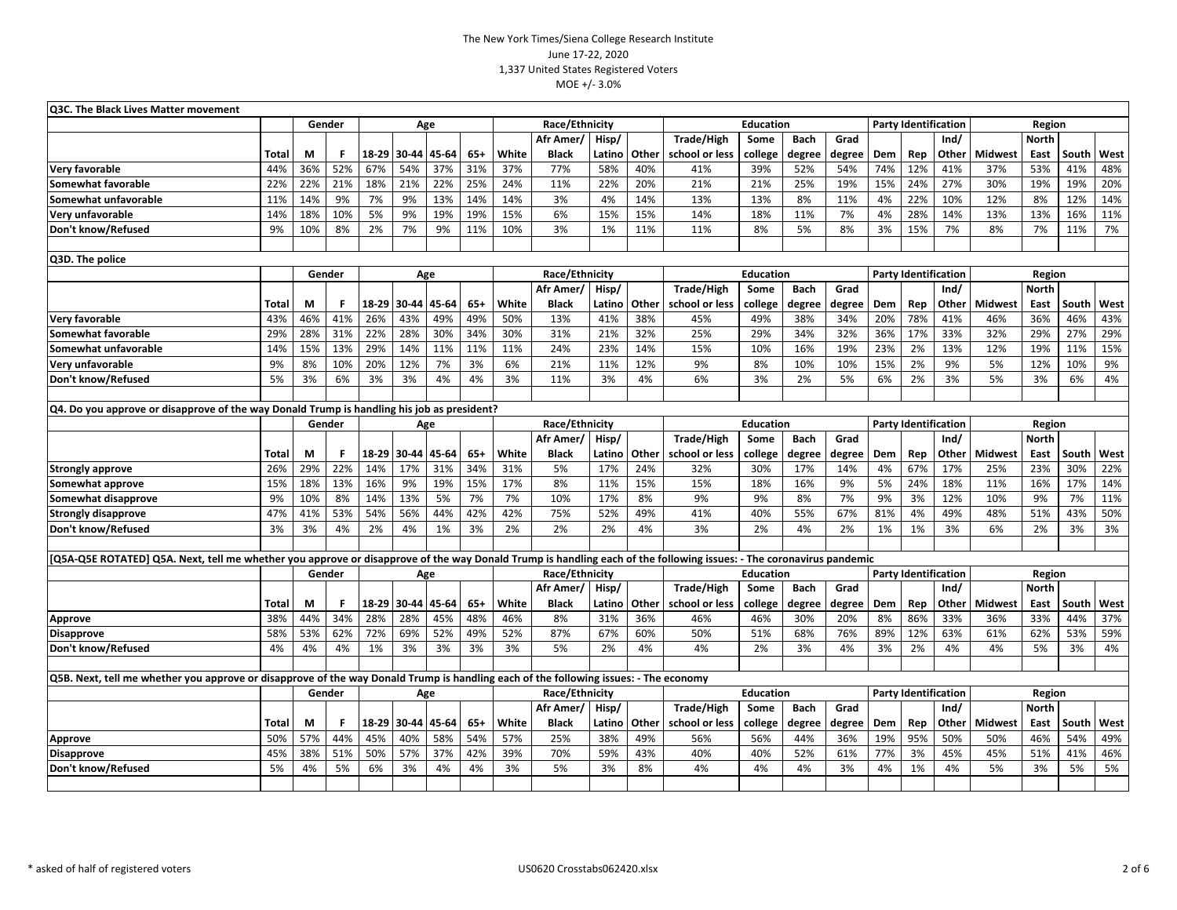| Q3C. The Black Lives Matter movement                                                                                                                                |              |        |        |     |                   |       |                   |       |                |                                                               |       |                |                                     |             |        |     |              |                             |                |              |       |      |
|---------------------------------------------------------------------------------------------------------------------------------------------------------------------|--------------|--------|--------|-----|-------------------|-------|-------------------|-------|----------------|---------------------------------------------------------------|-------|----------------|-------------------------------------|-------------|--------|-----|--------------|-----------------------------|----------------|--------------|-------|------|
|                                                                                                                                                                     |              |        | Gender |     |                   | Age   |                   |       | Race/Ethnicity |                                                               |       |                | <b>Education</b>                    |             |        |     |              | <b>Party Identification</b> |                | Region       |       |      |
|                                                                                                                                                                     |              |        |        |     |                   |       |                   |       | Afr Amer/      | Hisp/                                                         |       | Trade/High     | Some                                | <b>Bach</b> | Grad   |     |              | Ind/                        |                | <b>North</b> |       |      |
|                                                                                                                                                                     | <b>Total</b> | M      | F      |     | 18-29 30-44       | 45-64 | $65+$             | White | <b>Black</b>   | Latino                                                        | Other | school or less | college                             | degree      | degree | Dem | Rep          | Other                       | <b>Midwest</b> | East         | South | West |
| Very favorable                                                                                                                                                      | 44%          | 36%    | 52%    | 67% | 54%               | 37%   | 31%               | 37%   | 77%            | 58%                                                           | 40%   | 41%            | 39%                                 | 52%         | 54%    | 74% | 12%          | 41%                         | 37%            | 53%          | 41%   | 48%  |
| Somewhat favorable                                                                                                                                                  | 22%          | 22%    | 21%    | 18% | 21%               | 22%   | 25%               | 24%   | 11%            | 22%                                                           | 20%   | 21%            | 21%                                 | 25%         | 19%    | 15% | 24%          | 27%                         | 30%            | 19%          | 19%   | 20%  |
| Somewhat unfavorable                                                                                                                                                | 11%          | 14%    | 9%     | 7%  | 9%                | 13%   | 14%               | 14%   | 3%             | 4%                                                            | 14%   | 13%            | 13%                                 | 8%          | 11%    | 4%  | 22%          | 10%                         | 12%            | 8%           | 12%   | 14%  |
| Very unfavorable                                                                                                                                                    | 14%          | 18%    | 10%    | 5%  | 9%                | 19%   | 19%               | 15%   | 6%             | 15%                                                           | 15%   | 14%            | 18%                                 | 11%         | 7%     | 4%  | 28%          | 14%                         | 13%            | 13%          | 16%   | 11%  |
| Don't know/Refused                                                                                                                                                  | 9%           | 10%    | 8%     | 2%  | 7%                | 9%    | 11%               | 10%   | 3%             | 1%                                                            | 11%   | 11%            | 8%                                  | 5%          | 8%     | 3%  | 15%          | 7%                          | 8%             | 7%           | 11%   | 7%   |
|                                                                                                                                                                     |              |        |        |     |                   |       |                   |       |                |                                                               |       |                |                                     |             |        |     |              |                             |                |              |       |      |
| Q3D. The police                                                                                                                                                     |              |        |        |     |                   |       |                   |       |                |                                                               |       |                |                                     |             |        |     |              |                             |                |              |       |      |
|                                                                                                                                                                     |              |        | Gender |     |                   | Age   |                   |       | Race/Ethnicity |                                                               |       |                | <b>Education</b>                    |             |        |     |              | <b>Party Identification</b> |                | Region       |       |      |
|                                                                                                                                                                     |              |        |        |     |                   |       |                   |       | Afr Amer       | Hisp/                                                         |       | Trade/High     | Some                                | Bach        | Grad   |     |              | Ind/                        |                | <b>North</b> |       |      |
|                                                                                                                                                                     | <b>Total</b> | M      | F      |     | 18-29 30-44       | 45-64 | $65+$             | White | <b>Black</b>   | Latino                                                        | Other | school or less | college                             | degree      | degree | Dem | Rep          | Other                       | <b>Midwest</b> | East         | South | West |
| Very favorable                                                                                                                                                      | 43%          | 46%    | 41%    | 26% | 43%               | 49%   | 49%               | 50%   | 13%            | 41%                                                           | 38%   | 45%            | 49%                                 | 38%         | 34%    | 20% | 78%          | 41%                         | 46%            | 36%          | 46%   | 43%  |
| Somewhat favorable                                                                                                                                                  | 29%          | 28%    | 31%    | 22% | 28%               | 30%   | 34%               | 30%   | 31%            | 21%                                                           | 32%   | 25%            | 29%                                 | 34%         | 32%    | 36% | 17%          | 33%                         | 32%            | 29%          | 27%   | 29%  |
| Somewhat unfavorable                                                                                                                                                | 14%          | 15%    | 13%    | 29% | 14%               | 11%   | 11%               | 11%   | 24%            | 23%                                                           | 14%   | 15%            | 10%                                 | 16%         | 19%    | 23% | 2%           | 13%                         | 12%            | 19%          | 11%   | 15%  |
| Very unfavorable                                                                                                                                                    | 9%           | 8%     | 10%    | 20% | 12%               | 7%    | 3%                | 6%    | 21%            | 11%                                                           | 12%   | 9%             | 8%                                  | 10%         | 10%    | 15% | 2%           | 9%                          | 5%             | 12%          | 10%   | 9%   |
| Don't know/Refused                                                                                                                                                  | 5%           | 3%     | 6%     | 3%  | 3%                | 4%    | 4%                | 3%    | 11%            | 3%                                                            | 4%    | 6%             | 3%                                  | 2%          | 5%     | 6%  | 2%           | 3%                          | 5%             | 3%           | 6%    | 4%   |
| Q4. Do you approve or disapprove of the way Donald Trump is handling his job as president?                                                                          |              |        |        |     |                   |       |                   |       |                |                                                               |       |                |                                     |             |        |     |              |                             |                |              |       |      |
|                                                                                                                                                                     |              |        | Gender |     |                   |       |                   |       | Race/Ethnicity |                                                               |       |                |                                     |             |        |     |              |                             | Region         |              |       |      |
|                                                                                                                                                                     |              |        |        | Age |                   |       | Afr Amer<br>Hisp/ |       |                | <b>Education</b><br>Trade/High<br><b>Bach</b><br>Grad<br>Some |       |                | <b>Party Identification</b><br>Ind/ |             |        |     | <b>North</b> |                             |                |              |       |      |
|                                                                                                                                                                     | <b>Total</b> | M      | F      |     | 18-29 30-44 45-64 |       | $65+$             | White | <b>Black</b>   | Latino                                                        | Other | school or less | college                             | degree      | degree | Dem | Rep          | Other                       | <b>Midwest</b> | East         | South | West |
| <b>Strongly approve</b>                                                                                                                                             | 26%          | 29%    | 22%    | 14% | 17%               | 31%   | 34%               | 31%   | 5%             | 17%                                                           | 24%   | 32%            | 30%                                 | 17%         | 14%    | 4%  | 67%          | 17%                         | 25%            | 23%          | 30%   | 22%  |
| Somewhat approve                                                                                                                                                    | 15%          | 18%    | 13%    | 16% | 9%                | 19%   | 15%               | 17%   | 8%             | 11%                                                           | 15%   | 15%            | 18%                                 | 16%         | 9%     | 5%  | 24%          | 18%                         | 11%            | 16%          | 17%   | 14%  |
| Somewhat disapprove                                                                                                                                                 | 9%           | 10%    | 8%     | 14% | 13%               | 5%    | 7%                | 7%    | 10%            | 17%                                                           | 8%    | 9%             | 9%                                  | 8%          | 7%     | 9%  | 3%           | 12%                         | 10%            | 9%           | 7%    | 11%  |
| <b>Strongly disapprove</b>                                                                                                                                          | 47%          | 41%    | 53%    | 54% | 56%               | 44%   | 42%               | 42%   | 75%            | 52%                                                           | 49%   | 41%            | 40%                                 | 55%         | 67%    | 81% | 4%           | 49%                         | 48%            | 51%          | 43%   | 50%  |
| Don't know/Refused                                                                                                                                                  | 3%           | 3%     | 4%     | 2%  | 4%                | 1%    | 3%                | 2%    | 2%             | 2%                                                            | 4%    | 3%             | 2%                                  | 4%          | 2%     | 1%  | 1%           | 3%                          | 6%             | 2%           | 3%    | 3%   |
|                                                                                                                                                                     |              |        |        |     |                   |       |                   |       |                |                                                               |       |                |                                     |             |        |     |              |                             |                |              |       |      |
| [Q5A-Q5E ROTATED] Q5A. Next, tell me whether you approve or disapprove of the way Donald Trump is handling each of the following issues: - The coronavirus pandemic |              |        |        |     |                   |       |                   |       |                |                                                               |       |                |                                     |             |        |     |              |                             |                |              |       |      |
|                                                                                                                                                                     |              | Gender |        |     |                   | Age   |                   |       | Race/Ethnicity |                                                               |       |                | <b>Education</b>                    |             |        |     |              | <b>Party Identification</b> |                | Region       |       |      |
|                                                                                                                                                                     |              |        |        |     |                   |       |                   |       | Afr Amer       | Hisp/                                                         |       | Trade/High     | Some                                | <b>Bach</b> | Grad   |     |              | Ind/                        |                | <b>North</b> |       |      |
|                                                                                                                                                                     | <b>Total</b> | M      | F      |     | 18-29 30-44       | 45-64 | $65+$             | White | <b>Black</b>   | Latino                                                        | Other | school or less | college                             | degree      | degree | Dem | Rep          | Other                       | <b>Midwest</b> | East         | South | West |
| Approve                                                                                                                                                             | 38%          | 44%    | 34%    | 28% | 28%               | 45%   | 48%               | 46%   | 8%             | 31%                                                           | 36%   | 46%            | 46%                                 | 30%         | 20%    | 8%  | 86%          | 33%                         | 36%            | 33%          | 44%   | 37%  |
| <b>Disapprove</b>                                                                                                                                                   | 58%          | 53%    | 62%    | 72% | 69%               | 52%   | 49%               | 52%   | 87%            | 67%                                                           | 60%   | 50%            | 51%                                 | 68%         | 76%    | 89% | 12%          | 63%                         | 61%            | 62%          | 53%   | 59%  |
| Don't know/Refused                                                                                                                                                  | 4%           | 4%     | 4%     | 1%  | 3%                | 3%    | 3%                | 3%    | 5%             | 2%                                                            | 4%    | 4%             | 2%                                  | 3%          | 4%     | 3%  | 2%           | 4%                          | 4%             | 5%           | 3%    | 4%   |
|                                                                                                                                                                     |              |        |        |     |                   |       |                   |       |                |                                                               |       |                |                                     |             |        |     |              |                             |                |              |       |      |
| Q5B. Next, tell me whether you approve or disapprove of the way Donald Trump is handling each of the following issues: - The economy                                |              |        |        |     |                   |       |                   |       |                |                                                               |       |                |                                     |             |        |     |              |                             |                |              |       |      |
|                                                                                                                                                                     |              |        | Gender |     |                   | Age   |                   |       | Race/Ethnicity |                                                               |       |                | <b>Education</b>                    |             |        |     |              | <b>Party Identification</b> |                | Region       |       |      |
|                                                                                                                                                                     |              |        |        |     |                   |       |                   |       | Afr Amer       | Hisp/                                                         |       | Trade/High     | Some                                | <b>Bach</b> | Grad   |     |              | Ind/                        |                | <b>North</b> |       |      |
|                                                                                                                                                                     | <b>Total</b> | М      | F      |     | 18-29 30-44 45-64 |       | $65+$             | White | Black          | Latino                                                        | Other | school or less | college                             | degree      | degree | Dem | Rep          | Other                       | <b>Midwest</b> | East         | South | West |
| Approve                                                                                                                                                             | 50%          | 57%    | 44%    | 45% | 40%               | 58%   | 54%               | 57%   | 25%            | 38%                                                           | 49%   | 56%            | 56%                                 | 44%         | 36%    | 19% | 95%          | 50%                         | 50%            | 46%          | 54%   | 49%  |
| <b>Disapprove</b>                                                                                                                                                   | 45%          | 38%    | 51%    | 50% | 57%               | 37%   | 42%               | 39%   | 70%            | 59%                                                           | 43%   | 40%            | 40%                                 | 52%         | 61%    | 77% | 3%           | 45%                         | 45%            | 51%          | 41%   | 46%  |
| Don't know/Refused                                                                                                                                                  | 5%           | 4%     | 5%     | 6%  | 3%                | 4%    | 4%                | 3%    | 5%             | 3%                                                            | 8%    | 4%             | 4%                                  | 4%          | 3%     | 4%  | 1%           | 4%                          | 5%             | 3%           | 5%    | 5%   |
|                                                                                                                                                                     |              |        |        |     |                   |       |                   |       |                |                                                               |       |                |                                     |             |        |     |              |                             |                |              |       |      |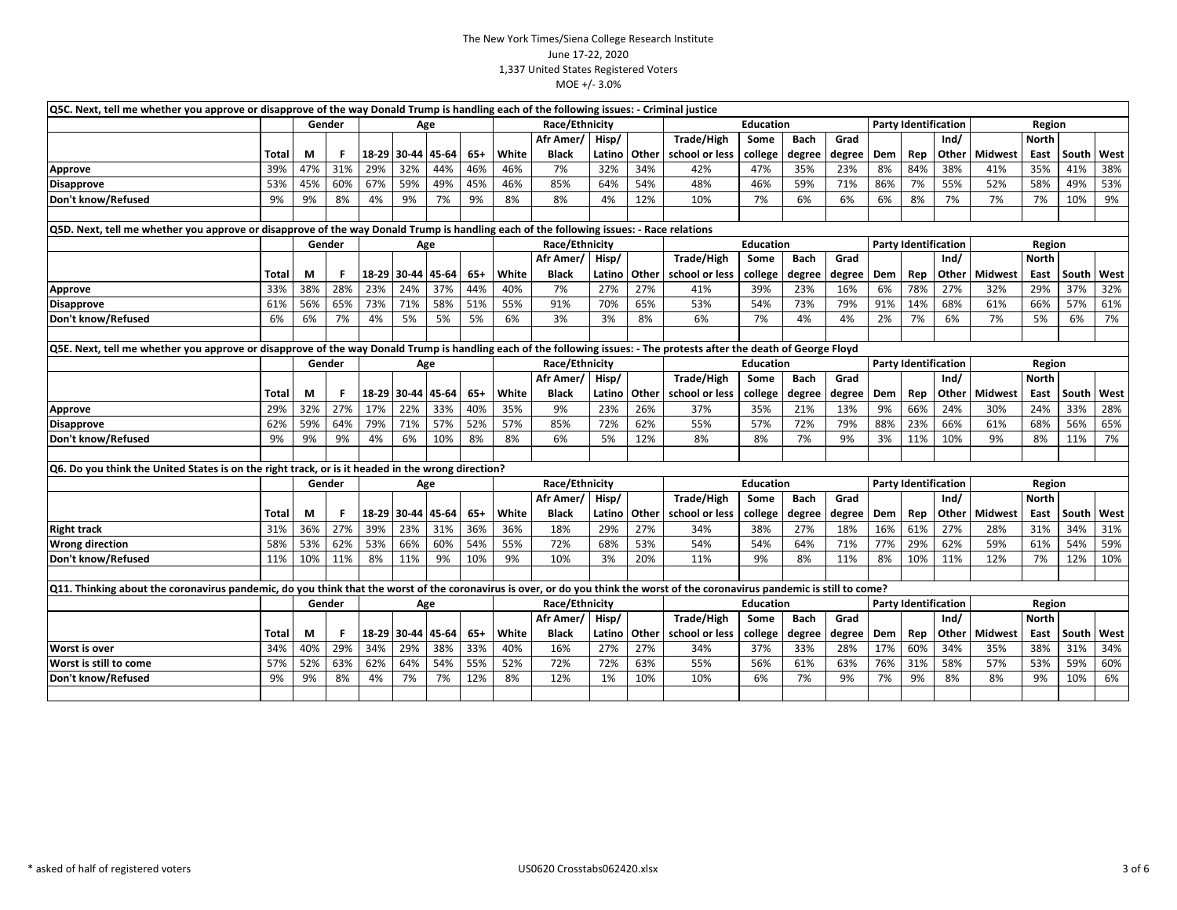| Q5C. Next, tell me whether you approve or disapprove of the way Donald Trump is handling each of the following issues: - Criminal justice                                     |       |        |     |     |                   |       |       |       |                 |                             |       |                  |                  |             |        |     |     |                             |                |              |       |      |
|-------------------------------------------------------------------------------------------------------------------------------------------------------------------------------|-------|--------|-----|-----|-------------------|-------|-------|-------|-----------------|-----------------------------|-------|------------------|------------------|-------------|--------|-----|-----|-----------------------------|----------------|--------------|-------|------|
|                                                                                                                                                                               |       | Gender |     |     |                   | Age   |       |       | Race/Ethnicity  |                             |       |                  | <b>Education</b> |             |        |     |     | <b>Party Identification</b> |                | Region       |       |      |
|                                                                                                                                                                               |       |        |     |     |                   |       |       |       | Afr Amer/ Hisp/ |                             |       | Trade/High       | Some             | <b>Bach</b> | Grad   |     |     | Ind/                        |                | <b>North</b> |       |      |
|                                                                                                                                                                               | Total | М      |     |     | 18-29 30-44       | 45-64 | $65+$ | White | Black           | Latino                      | Other | school or less   | college          | degree      | degree | Dem | Rep | Other                       | <b>Midwest</b> | East         | South | West |
| Approve                                                                                                                                                                       | 39%   | 47%    | 31% | 29% | 32%               | 44%   | 46%   | 46%   | 7%              | 32%                         | 34%   | 42%              | 47%              | 35%         | 23%    | 8%  | 84% | 38%                         | 41%            | 35%          | 41%   | 38%  |
| <b>Disapprove</b>                                                                                                                                                             | 53%   | 45%    | 60% | 67% | 59%               | 49%   | 45%   | 46%   | 85%             | 64%                         | 54%   | 48%              | 46%              | 59%         | 71%    | 86% | 7%  | 55%                         | 52%            | 58%          | 49%   | 53%  |
| Don't know/Refused                                                                                                                                                            | 9%    | 9%     | 8%  | 4%  | 9%                | 7%    | 9%    | 8%    | 8%              | 4%                          | 12%   | 10%              | 7%               | 6%          | 6%     | 6%  | 8%  | 7%                          | 7%             | 7%           | 10%   | 9%   |
|                                                                                                                                                                               |       |        |     |     |                   |       |       |       |                 |                             |       |                  |                  |             |        |     |     |                             |                |              |       |      |
| Q5D. Next, tell me whether you approve or disapprove of the way Donald Trump is handling each of the following issues: - Race relations                                       |       |        |     |     |                   |       |       |       |                 |                             |       |                  |                  |             |        |     |     |                             |                |              |       |      |
|                                                                                                                                                                               |       | Gender |     |     |                   | Age   |       |       | Race/Ethnicity  |                             |       |                  | <b>Education</b> |             |        |     |     | <b>Party Identification</b> |                | Region       |       |      |
|                                                                                                                                                                               |       |        |     |     |                   |       |       |       | Afr Amer/ Hisp/ |                             |       | Trade/High       | Some             | <b>Bach</b> | Grad   |     |     | Ind/                        |                | <b>North</b> |       |      |
|                                                                                                                                                                               | Total | M      | F.  |     | 18-29 30-44       | 45-64 | $65+$ | White | <b>Black</b>    | Latino                      | Other | school or less   | college          | degree      | degree | Dem | Rep | Other                       | <b>Midwest</b> | East         | South | West |
| Approve                                                                                                                                                                       | 33%   | 38%    | 28% | 23% | 24%               | 37%   | 44%   | 40%   | 7%              | 27%                         | 27%   | 41%              | 39%              | 23%         | 16%    | 6%  | 78% | 27%                         | 32%            | 29%          | 37%   | 32%  |
| <b>Disapprove</b>                                                                                                                                                             | 61%   | 56%    | 65% | 73% | 71%               | 58%   | 51%   | 55%   | 91%             | 70%                         | 65%   | 53%              | 54%              | 73%         | 79%    | 91% | 14% | 68%                         | 61%            | 66%          | 57%   | 61%  |
| Don't know/Refused                                                                                                                                                            | 6%    | 6%     | 7%  | 4%  | 5%                | 5%    | 5%    | 6%    | 3%              | 3%                          | 8%    | 6%               | 7%               | 4%          | 4%     | 2%  | 7%  | 6%                          | 7%             | 5%           | 6%    | 7%   |
|                                                                                                                                                                               |       |        |     |     |                   |       |       |       |                 |                             |       |                  |                  |             |        |     |     |                             |                |              |       |      |
| Q5E. Next, tell me whether you approve or disapprove of the way Donald Trump is handling each of the following issues: - The protests after the death of George Floyd         |       |        |     |     |                   |       |       |       |                 |                             |       |                  |                  |             |        |     |     |                             |                |              |       |      |
|                                                                                                                                                                               |       | Gender |     |     |                   | Age   |       |       | Race/Ethnicity  |                             |       | <b>Education</b> |                  |             |        |     |     | <b>Party Identification</b> |                | Region       |       |      |
|                                                                                                                                                                               |       |        |     |     |                   |       |       |       | Afr Amer/       | Hisp/                       |       | Trade/High       | Some             | <b>Bach</b> | Grad   |     |     | Ind/                        |                | <b>North</b> |       |      |
|                                                                                                                                                                               | Total | М      |     |     | 18-29 30-44       | 45-64 | $65+$ | White | <b>Black</b>    | Latino                      | Other | school or less   | college          | degree      | degree | Dem | Rep | Other                       | Midwest        | East         | South | West |
| Approve                                                                                                                                                                       | 29%   | 32%    | 27% | 17% | 22%               | 33%   | 40%   | 35%   | 9%              | 23%                         | 26%   | 37%              | 35%              | 21%         | 13%    | 9%  | 66% | 24%                         | 30%            | 24%          | 33%   | 28%  |
| <b>Disapprove</b>                                                                                                                                                             | 62%   | 59%    | 64% | 79% | 71%               | 57%   | 52%   | 57%   | 85%             | 72%                         | 62%   | 55%              | 57%              | 72%         | 79%    | 88% | 23% | 66%                         | 61%            | 68%          | 56%   | 65%  |
| Don't know/Refused                                                                                                                                                            | 9%    | 9%     | 9%  | 4%  | 6%                | 10%   | 8%    | 8%    | 6%              | 5%                          | 12%   | 8%               | 8%               | 7%          | 9%     | 3%  | 11% | 10%                         | 9%             | 8%           | 11%   | 7%   |
|                                                                                                                                                                               |       |        |     |     |                   |       |       |       |                 |                             |       |                  |                  |             |        |     |     |                             |                |              |       |      |
| Q6. Do you think the United States is on the right track, or is it headed in the wrong direction?                                                                             |       |        |     |     |                   |       |       |       |                 |                             |       |                  |                  |             |        |     |     |                             |                |              |       |      |
|                                                                                                                                                                               |       | Gender |     |     |                   | Age   |       |       | Race/Ethnicity  |                             |       | <b>Education</b> |                  |             |        |     |     | <b>Party Identification</b> | Region         |              |       |      |
|                                                                                                                                                                               |       |        |     |     |                   |       |       |       | Afr Amer/       | Hisp/                       |       | Trade/High       | Some             | <b>Bach</b> | Grad   |     |     | Ind/                        |                | North        |       |      |
|                                                                                                                                                                               | Total | М      | F   |     | 18-29 30-44 45-64 |       | $65+$ | White | <b>Black</b>    | Latino                      | Other | school or less   | college          | degree      | degree | Dem | Rep | Other                       | <b>Midwest</b> | East         | South | West |
| <b>Right track</b>                                                                                                                                                            | 31%   | 36%    | 27% | 39% | 23%               | 31%   | 36%   | 36%   | 18%             | 29%                         | 27%   | 34%              | 38%              | 27%         | 18%    | 16% | 61% | 27%                         | 28%            | 31%          | 34%   | 31%  |
| <b>Wrong direction</b>                                                                                                                                                        | 58%   | 53%    | 62% | 53% | 66%               | 60%   | 54%   | 55%   | 72%             | 68%                         | 53%   | 54%              | 54%              | 64%         | 71%    | 77% | 29% | 62%                         | 59%            | 61%          | 54%   | 59%  |
| Don't know/Refused                                                                                                                                                            | 11%   | 10%    | 11% | 8%  | 11%               | 9%    | 10%   | 9%    | 10%             | 3%                          | 20%   | 11%              | 9%               | 8%          | 11%    | 8%  | 10% | 11%                         | 12%            | 7%           | 12%   | 10%  |
|                                                                                                                                                                               |       |        |     |     |                   |       |       |       |                 |                             |       |                  |                  |             |        |     |     |                             |                |              |       |      |
| Q11. Thinking about the coronavirus pandemic, do you think that the worst of the coronavirus is over, or do you think the worst of the coronavirus pandemic is still to come? |       |        |     |     |                   |       |       |       |                 |                             |       |                  |                  |             |        |     |     |                             |                |              |       |      |
|                                                                                                                                                                               |       | Gender |     |     |                   | Age   |       |       | Race/Ethnicity  |                             |       |                  | <b>Education</b> |             |        |     |     | <b>Party Identification</b> |                | Region       |       |      |
|                                                                                                                                                                               |       |        |     |     |                   |       |       |       | Afr Amer/       | Trade/High<br>Hisp/<br>Some |       |                  |                  | <b>Bach</b> | Grad   |     |     | Ind/                        |                | North        |       |      |
|                                                                                                                                                                               | Total | М      | F   |     | 18-29 30-44       | 45-64 | $65+$ | White | <b>Black</b>    | Latino                      | Other | school or less   | college          | degree      | degree | Dem | Rep | Other                       | Midwest        | East         | South | West |
| Worst is over                                                                                                                                                                 | 34%   | 40%    | 29% | 34% | 29%               | 38%   | 33%   | 40%   | 16%             | 27%                         | 27%   | 34%              | 37%              | 33%         | 28%    | 17% | 60% | 34%                         | 35%            | 38%          | 31%   | 34%  |
| Worst is still to come                                                                                                                                                        | 57%   | 52%    | 63% | 62% | 64%               | 54%   | 55%   | 52%   | 72%             | 72%                         | 63%   | 55%              | 56%              | 61%         | 63%    | 76% | 31% | 58%                         | 57%            | 53%          | 59%   | 60%  |
| Don't know/Refused                                                                                                                                                            | 9%    | 9%     | 8%  | 4%  | 7%                | 7%    | 12%   | 8%    | 12%             | 1%                          | 10%   | 10%              | 6%               | 7%          | 9%     | 7%  | 9%  | 8%                          | 8%             | 9%           | 10%   | 6%   |
|                                                                                                                                                                               |       |        |     |     |                   |       |       |       |                 |                             |       |                  |                  |             |        |     |     |                             |                |              |       |      |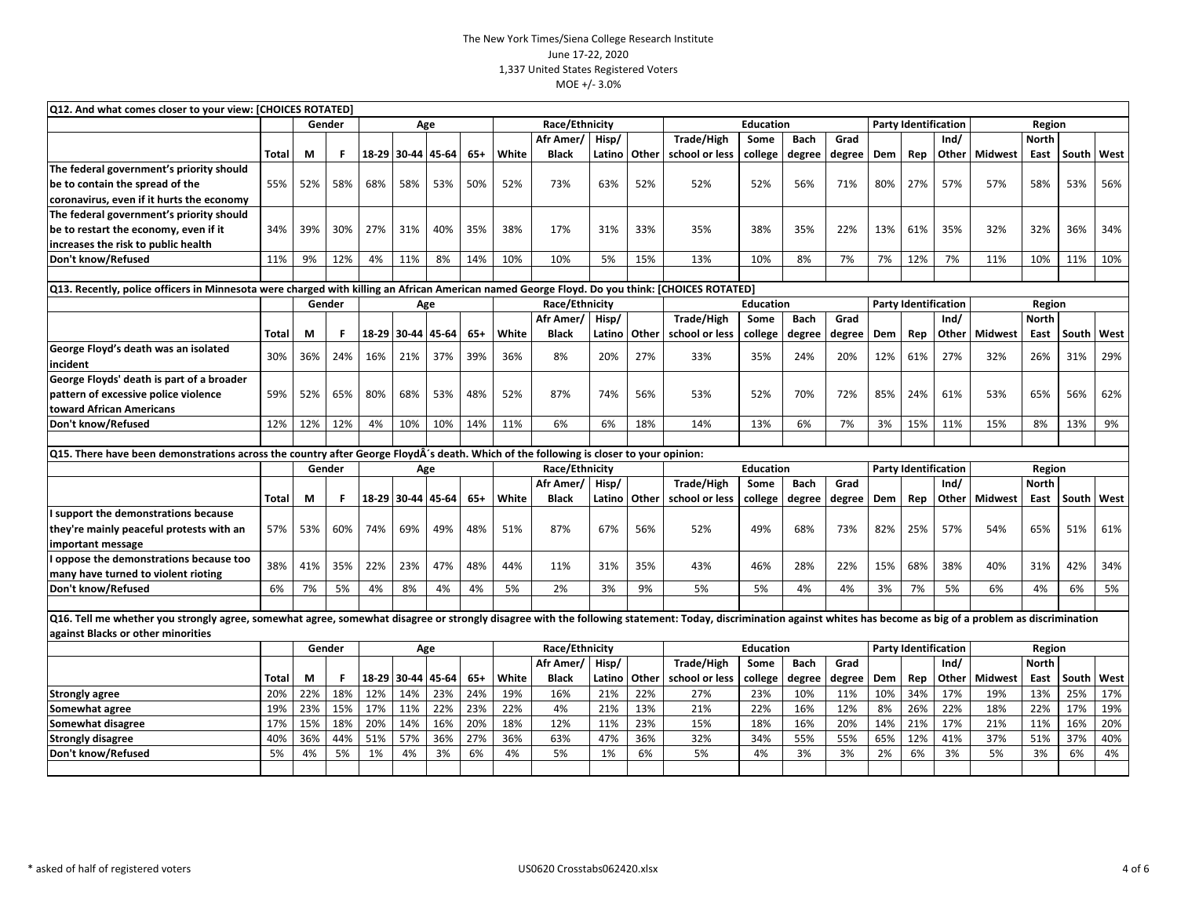| Q12. And what comes closer to your view: [CHOICES ROTATED]                                                                                    | Race/Ethnicity<br><b>Party Identification</b><br>Gender<br><b>Education</b><br>Region<br>Age |     |        |     |             |                   |       |                                                                                                                                                                                                                     |                |        |       |                |                  |             |        |     |     |                             |                      |               |              |      |
|-----------------------------------------------------------------------------------------------------------------------------------------------|----------------------------------------------------------------------------------------------|-----|--------|-----|-------------|-------------------|-------|---------------------------------------------------------------------------------------------------------------------------------------------------------------------------------------------------------------------|----------------|--------|-------|----------------|------------------|-------------|--------|-----|-----|-----------------------------|----------------------|---------------|--------------|------|
|                                                                                                                                               |                                                                                              |     |        |     |             |                   |       |                                                                                                                                                                                                                     |                |        |       |                |                  |             |        |     |     |                             |                      |               |              |      |
|                                                                                                                                               |                                                                                              |     |        |     |             |                   |       |                                                                                                                                                                                                                     | Afr Amer/      | Hisp/  |       | Trade/High     | Some             | <b>Bach</b> | Grad   |     |     | Ind/                        |                      | North         |              |      |
|                                                                                                                                               | <b>Total</b>                                                                                 | М   | F      |     | 18-29 30-44 | 45-64             | $65+$ | White                                                                                                                                                                                                               | <b>Black</b>   | Latino | Other | school or less | college          | degree      | degree | Dem | Rep |                             | <b>Other Midwest</b> | East          | <b>South</b> | West |
| The federal government's priority should                                                                                                      |                                                                                              |     |        |     |             |                   |       |                                                                                                                                                                                                                     |                |        |       |                |                  |             |        |     |     |                             |                      |               |              |      |
| be to contain the spread of the                                                                                                               | 55%                                                                                          | 52% | 58%    | 68% | 58%         | 53%               | 50%   | 52%                                                                                                                                                                                                                 | 73%            | 63%    | 52%   | 52%            | 52%              | 56%         | 71%    | 80% | 27% | 57%                         | 57%                  | 58%           | 53%          | 56%  |
| coronavirus, even if it hurts the economy                                                                                                     |                                                                                              |     |        |     |             |                   |       |                                                                                                                                                                                                                     |                |        |       |                |                  |             |        |     |     |                             |                      |               |              |      |
| The federal government's priority should                                                                                                      |                                                                                              |     |        |     |             |                   |       |                                                                                                                                                                                                                     |                |        |       |                |                  |             |        |     |     |                             |                      |               |              |      |
| be to restart the economy, even if it                                                                                                         | 34%                                                                                          | 39% | 30%    | 27% | 31%         | 40%               | 35%   | 38%                                                                                                                                                                                                                 | 17%            | 31%    | 33%   | 35%            | 38%              | 35%         | 22%    | 13% | 61% | 35%                         | 32%                  | 32%           | 36%          | 34%  |
| increases the risk to public health                                                                                                           |                                                                                              |     |        |     |             |                   |       |                                                                                                                                                                                                                     |                |        |       |                |                  |             |        |     |     |                             |                      |               |              |      |
| Don't know/Refused                                                                                                                            | 11%                                                                                          | 9%  | 12%    | 4%  | 11%         | 8%                | 14%   | 10%                                                                                                                                                                                                                 | 10%            | 5%     | 15%   | 13%            | 10%              | 8%          | 7%     | 7%  | 12% | 7%                          | 11%                  | 10%           | 11%          | 10%  |
|                                                                                                                                               |                                                                                              |     |        |     |             |                   |       |                                                                                                                                                                                                                     |                |        |       |                |                  |             |        |     |     |                             |                      |               |              |      |
| Q13. Recently, police officers in Minnesota were charged with killing an African American named George Floyd. Do you think: [CHOICES ROTATED] |                                                                                              |     |        |     |             |                   |       |                                                                                                                                                                                                                     |                |        |       |                |                  |             |        |     |     |                             |                      |               |              |      |
|                                                                                                                                               |                                                                                              |     | Gender |     |             | Age               |       |                                                                                                                                                                                                                     | Race/Ethnicity |        |       |                | <b>Education</b> |             |        |     |     | <b>Party Identification</b> |                      | Region        |              |      |
|                                                                                                                                               |                                                                                              |     |        |     |             |                   |       |                                                                                                                                                                                                                     | Afr Amer/      | Hisp/  |       | Trade/High     | Some             | <b>Bach</b> | Grad   |     |     | Ind/                        |                      | <b>North</b>  |              |      |
|                                                                                                                                               | Total                                                                                        | М   | F      |     | 18-29 30-44 | 45-64             | $65+$ | White                                                                                                                                                                                                               | <b>Black</b>   | Latino | Other | school or less | college          | degree      | degree | Dem | Rep | Other                       | <b>Midwest</b>       | East          | South        | West |
| George Floyd's death was an isolated<br>incident                                                                                              | 30%                                                                                          | 36% | 24%    | 16% | 21%         | 37%               | 39%   | 36%                                                                                                                                                                                                                 | 8%             | 20%    | 27%   | 33%            | 35%              | 24%         | 20%    | 12% | 61% | 27%                         | 32%                  | 26%           | 31%          | 29%  |
| George Floyds' death is part of a broader                                                                                                     |                                                                                              |     |        |     |             |                   |       |                                                                                                                                                                                                                     |                |        |       |                |                  |             |        |     |     |                             |                      |               |              |      |
| pattern of excessive police violence                                                                                                          | 59%                                                                                          | 52% | 65%    | 80% | 68%         | 53%               | 48%   | 52%                                                                                                                                                                                                                 | 87%            | 74%    | 56%   | 53%            | 52%              | 70%         | 72%    | 85% | 24% | 61%                         | 53%                  | 65%           | 56%          | 62%  |
| toward African Americans                                                                                                                      |                                                                                              |     |        |     |             |                   |       |                                                                                                                                                                                                                     |                |        |       |                |                  |             |        |     |     |                             |                      |               |              |      |
| Don't know/Refused                                                                                                                            | 12%                                                                                          | 12% | 12%    | 4%  | 10%         | 10%               | 14%   | 11%                                                                                                                                                                                                                 | 6%             | 6%     | 18%   | 14%            | 13%              | 6%          | 7%     | 3%  | 15% | 11%                         | 15%                  | 8%            | 13%          | 9%   |
|                                                                                                                                               |                                                                                              |     |        |     |             |                   |       |                                                                                                                                                                                                                     |                |        |       |                |                  |             |        |     |     |                             |                      |               |              |      |
| Q15. There have been demonstrations across the country after George FloydÂ's death. Which of the following is closer to your opinion:         |                                                                                              |     |        |     |             |                   |       |                                                                                                                                                                                                                     |                |        |       |                |                  |             |        |     |     |                             |                      |               |              |      |
|                                                                                                                                               |                                                                                              |     | Gender |     |             | Age               |       |                                                                                                                                                                                                                     | Race/Ethnicity |        |       |                | <b>Education</b> |             |        |     |     | <b>Party Identification</b> |                      | Region        |              |      |
|                                                                                                                                               |                                                                                              |     |        |     |             |                   |       |                                                                                                                                                                                                                     | Afr Amer/      | Hisp/  |       | Trade/High     | Some             | <b>Bach</b> | Grad   |     |     | Ind/                        |                      | <b>North</b>  |              |      |
|                                                                                                                                               | <b>Total</b>                                                                                 | М   | F      |     |             | 18-29 30-44 45-64 | $65+$ | White                                                                                                                                                                                                               | <b>Black</b>   | Latino | Other | school or less | college          | degree      | degree | Dem | Rep |                             | <b>Other Midwest</b> | East          | South        | West |
| I support the demonstrations because                                                                                                          |                                                                                              |     |        |     |             |                   |       |                                                                                                                                                                                                                     |                |        |       |                |                  |             |        |     |     |                             |                      |               |              |      |
| they're mainly peaceful protests with an                                                                                                      | 57%                                                                                          | 53% | 60%    | 74% | 69%         | 49%               | 48%   | 51%                                                                                                                                                                                                                 | 87%            | 67%    | 56%   | 52%            | 49%              | 68%         | 73%    | 82% | 25% | 57%                         | 54%                  | 65%           | 51%          | 61%  |
| important message                                                                                                                             |                                                                                              |     |        |     |             |                   |       |                                                                                                                                                                                                                     |                |        |       |                |                  |             |        |     |     |                             |                      |               |              |      |
| oppose the demonstrations because too                                                                                                         |                                                                                              |     |        |     |             |                   |       |                                                                                                                                                                                                                     |                |        |       |                |                  |             |        |     |     |                             |                      |               |              |      |
| many have turned to violent rioting                                                                                                           | 38%                                                                                          | 41% | 35%    | 22% | 23%         | 47%               | 48%   | 44%                                                                                                                                                                                                                 | 11%            | 31%    | 35%   | 43%            | 46%              | 28%         | 22%    | 15% | 68% | 38%                         | 40%                  | 31%           | 42%          | 34%  |
| Don't know/Refused                                                                                                                            | 6%                                                                                           | 7%  | 5%     | 4%  | 8%          | 4%                | 4%    | 5%                                                                                                                                                                                                                  | 2%             | 3%     | 9%    | 5%             | 5%               | 4%          | 4%     | 3%  | 7%  | 5%                          | 6%                   | 4%            | 6%           | 5%   |
|                                                                                                                                               |                                                                                              |     |        |     |             |                   |       |                                                                                                                                                                                                                     |                |        |       |                |                  |             |        |     |     |                             |                      |               |              |      |
|                                                                                                                                               |                                                                                              |     |        |     |             |                   |       | Q16. Tell me whether you strongly agree, somewhat agree, somewhat disagree or strongly disagree with the following statement: Today, discrimination against whites has become as big of a problem as discrimination |                |        |       |                |                  |             |        |     |     |                             |                      |               |              |      |
| against Blacks or other minorities                                                                                                            |                                                                                              |     |        |     |             |                   |       |                                                                                                                                                                                                                     |                |        |       |                |                  |             |        |     |     |                             |                      |               |              |      |
|                                                                                                                                               |                                                                                              |     | Gender |     |             | Age               |       |                                                                                                                                                                                                                     | Race/Ethnicity |        |       |                | <b>Education</b> |             |        |     |     | <b>Party Identification</b> |                      | <b>Region</b> |              |      |
|                                                                                                                                               |                                                                                              |     |        |     |             |                   |       |                                                                                                                                                                                                                     | Afr Amer/      | Hisp/  |       | Trade/High     | Some             | <b>Bach</b> | Grad   |     |     | Ind/                        |                      | <b>North</b>  |              |      |
|                                                                                                                                               | Total                                                                                        | М   | F      |     | 18-29 30-44 | 45-64             | $65+$ | White                                                                                                                                                                                                               | <b>Black</b>   | Latino | Other | school or less | college          | degree      | degree | Dem | Rep | Other                       | Midwest              | East          | South        | West |
| Strongly agree                                                                                                                                | 20%                                                                                          | 22% | 18%    | 12% | 14%         | 23%               | 24%   | 19%                                                                                                                                                                                                                 | 16%            | 21%    | 22%   | 27%            | 23%              | 10%         | 11%    | 10% | 34% | 17%                         | 19%                  | 13%           | 25%          | 17%  |
| Somewhat agree                                                                                                                                | 19%                                                                                          | 23% | 15%    | 17% | 11%         | 22%               | 23%   | 22%                                                                                                                                                                                                                 | 4%             | 21%    | 13%   | 21%            | 22%              | 16%         | 12%    | 8%  | 26% | 22%                         | 18%                  | 22%           | 17%          | 19%  |
| Somewhat disagree                                                                                                                             | 17%                                                                                          | 15% | 18%    | 20% | 14%         | 16%               | 20%   | 18%                                                                                                                                                                                                                 | 12%            | 11%    | 23%   | 15%            | 18%              | 16%         | 20%    | 14% | 21% | 17%                         | 21%                  | 11%           | 16%          | 20%  |
| <b>Strongly disagree</b>                                                                                                                      | 40%                                                                                          | 36% | 44%    | 51% | 57%         | 36%               | 27%   | 36%                                                                                                                                                                                                                 | 63%            | 47%    | 36%   | 32%            | 34%              | 55%         | 55%    | 65% | 12% | 41%                         | 37%                  | 51%           | 37%          | 40%  |
| Don't know/Refused                                                                                                                            | 5%                                                                                           | 4%  | 5%     | 1%  | 4%          | 3%                | 6%    | 4%                                                                                                                                                                                                                  | 5%             | 1%     | 6%    | 5%             | 4%               | 3%          | 3%     | 2%  | 6%  | 3%                          | 5%                   | 3%            | 6%           | 4%   |
|                                                                                                                                               |                                                                                              |     |        |     |             |                   |       |                                                                                                                                                                                                                     |                |        |       |                |                  |             |        |     |     |                             |                      |               |              |      |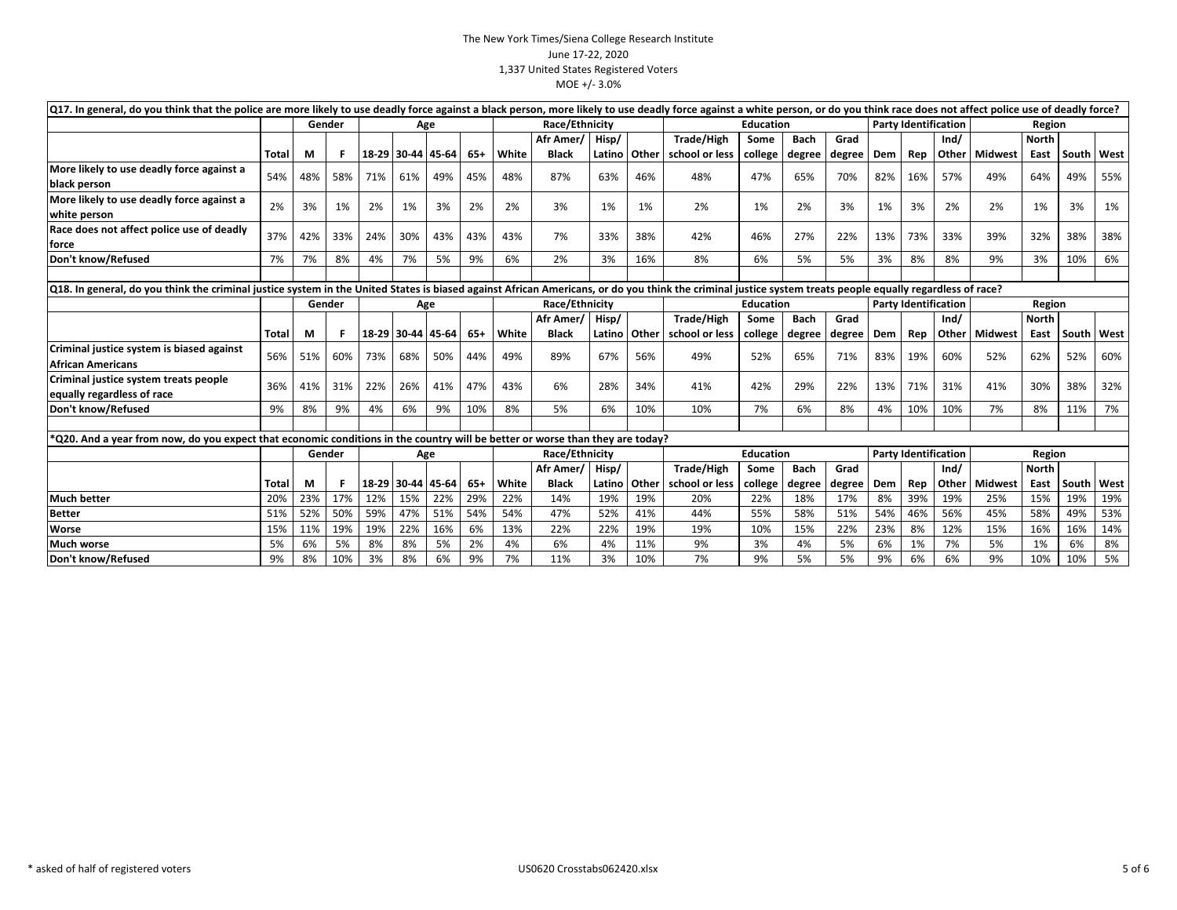| $ Q17 $ . In general, do you think that the police are more likely to use deadly force against a black person, more likely to use deadly force against a white person, or do you think race does not affect police use of dead |              |     |        |     |                   |                   |     |       |                |        |              |                                 |                  |             |                             |     |              |                             |                 |              |       |              |
|--------------------------------------------------------------------------------------------------------------------------------------------------------------------------------------------------------------------------------|--------------|-----|--------|-----|-------------------|-------------------|-----|-------|----------------|--------|--------------|---------------------------------|------------------|-------------|-----------------------------|-----|--------------|-----------------------------|-----------------|--------------|-------|--------------|
|                                                                                                                                                                                                                                |              |     | Gender |     |                   | Age               |     |       | Race/Ethnicity |        |              |                                 | <b>Education</b> |             |                             |     |              | <b>Party Identification</b> |                 | Region       |       |              |
|                                                                                                                                                                                                                                |              |     |        |     |                   |                   |     |       | Afr Amer/      | Hisp/  |              | Trade/High                      | Some             | <b>Bach</b> | Grad                        |     |              | Ind/                        |                 | <b>North</b> |       |              |
|                                                                                                                                                                                                                                | Total        | M   |        |     | 18-29 30-44 45-64 |                   | 65+ | White | <b>Black</b>   | Latino | <b>Other</b> | school or less                  | college          | degree      | degree                      | Dem | Rep          | Other                       | <b>Midwest</b>  | East         |       | South   West |
| More likely to use deadly force against a                                                                                                                                                                                      | 54%          | 48% | 58%    | 71% | 61%               | 49%               | 45% | 48%   | 87%            | 63%    | 46%          | 48%                             | 47%              | 65%         | 70%                         | 82% | 16%          | 57%                         | 49%             | 64%          | 49%   | 55%          |
| black person                                                                                                                                                                                                                   |              |     |        |     |                   |                   |     |       |                |        |              |                                 |                  |             |                             |     |              |                             |                 |              |       |              |
| More likely to use deadly force against a                                                                                                                                                                                      | 2%           | 3%  | 1%     | 2%  | 1%                | 3%                | 2%  | 2%    | 3%             | 1%     | 1%           | 2%                              | 1%               | 2%          | 3%                          | 1%  | 3%           | 2%                          | 2%              | 1%           | 3%    | 1%           |
| white person                                                                                                                                                                                                                   |              |     |        |     |                   |                   |     |       |                |        |              |                                 |                  |             |                             |     |              |                             |                 |              |       |              |
| Race does not affect police use of deadly                                                                                                                                                                                      | 37%          | 42% | 33%    | 24% | 30%               | 43%               | 43% | 43%   | 7%             | 33%    | 38%          | 42%                             | 46%              | 27%         | 22%                         | 13% | 73%          | 33%                         | 39%             | 32%          | 38%   | 38%          |
| force                                                                                                                                                                                                                          |              |     |        |     |                   |                   |     |       |                |        |              |                                 |                  |             |                             |     |              |                             |                 |              |       |              |
| Don't know/Refused                                                                                                                                                                                                             | 7%           | 7%  | 8%     | 4%  | 7%                | 5%                | 9%  | 6%    | 2%             | 3%     | 16%          | 8%                              | 6%               | 5%          | 5%                          | 3%  | 8%           | 8%                          | 9%              | 3%           | 10%   | 6%           |
|                                                                                                                                                                                                                                |              |     |        |     |                   |                   |     |       |                |        |              |                                 |                  |             |                             |     |              |                             |                 |              |       |              |
| Q18. In general, do you think the criminal justice system in the United States is biased against African Americans, or do you think the criminal justice system treats people equally regardless of race?                      |              |     |        |     |                   |                   |     |       |                |        |              |                                 |                  |             |                             |     |              |                             |                 |              |       |              |
|                                                                                                                                                                                                                                |              |     | Gender |     |                   | Age               |     |       | Race/Ethnicity |        |              |                                 |                  |             | <b>Party Identification</b> |     | Region       |                             |                 |              |       |              |
|                                                                                                                                                                                                                                |              |     |        |     |                   |                   |     |       | Afr Amer/      | Hisp/  |              | Trade/High                      |                  |             | Ind/                        |     | <b>North</b> |                             |                 |              |       |              |
|                                                                                                                                                                                                                                | <b>Total</b> | М   | F      |     |                   | 18-29 30-44 45-64 | 65+ | White | <b>Black</b>   |        |              | Latino   Other   school or less | college          | degree      | degree   Dem                |     | Rep          |                             | Other   Midwest | East         |       | South   West |
| Criminal justice system is biased against                                                                                                                                                                                      | 56%          | 51% | 60%    | 73% | 68%               | 50%               | 44% | 49%   | 89%            | 67%    | 56%          | 49%                             | 52%              | 65%         | 71%                         | 83% | 19%          | 60%                         | 52%             | 62%          | 52%   | 60%          |
| African Americans                                                                                                                                                                                                              |              |     |        |     |                   |                   |     |       |                |        |              |                                 |                  |             |                             |     |              |                             |                 |              |       |              |
| Criminal justice system treats people                                                                                                                                                                                          | 36%          | 41% | 31%    | 22% | 26%               | 41%               | 47% | 43%   | 6%             | 28%    | 34%          | 41%                             | 42%              | 29%         | 22%                         | 13% | 71%          | 31%                         | 41%             | 30%          | 38%   | 32%          |
| equally regardless of race                                                                                                                                                                                                     |              |     |        |     |                   |                   |     |       |                |        |              |                                 |                  |             |                             |     |              |                             |                 |              |       |              |
| Don't know/Refused                                                                                                                                                                                                             | 9%           | 8%  | 9%     | 4%  | 6%                | 9%                | 10% | 8%    | 5%             | 6%     | 10%          | 10%                             | 7%               | 6%          | 8%                          | 4%  | 10%          | 10%                         | 7%              | 8%           | 11%   | 7%           |
|                                                                                                                                                                                                                                |              |     |        |     |                   |                   |     |       |                |        |              |                                 |                  |             |                             |     |              |                             |                 |              |       |              |
| *Q20. And a year from now, do you expect that economic conditions in the country will be better or worse than they are today?                                                                                                  |              |     |        |     |                   |                   |     |       |                |        |              |                                 |                  |             |                             |     |              |                             |                 |              |       |              |
|                                                                                                                                                                                                                                |              |     | Gender |     |                   | Age               |     |       | Race/Ethnicity |        |              |                                 | <b>Education</b> |             |                             |     |              | <b>Party Identification</b> |                 | Region       |       |              |
|                                                                                                                                                                                                                                |              |     |        |     |                   |                   |     |       | Afr Amer/      | Hisp/  |              | Trade/High                      | Some             | <b>Bach</b> | Grad                        |     |              | Ind/                        |                 | <b>North</b> |       |              |
|                                                                                                                                                                                                                                | Total        | M   |        |     |                   | 18-29 30-44 45-64 | 65+ | White | <b>Black</b>   | Latino | <b>Other</b> | school or less                  | college          | degree      | degree                      | Dem | Rep          | Other                       | <b>Midwest</b>  | East         | South | West         |
| <b>Much better</b>                                                                                                                                                                                                             | 20%          | 23% | 17%    | 12% | 15%               | 22%               | 29% | 22%   | 14%            | 19%    | 19%          | 20%                             | 22%              | 18%         | 17%                         | 8%  | 39%          | 19%                         | 25%             | 15%          | 19%   | 19%          |
| <b>Better</b>                                                                                                                                                                                                                  | 51%          | 52% | 50%    | 59% | 47%               | 51%               | 54% | 54%   | 47%            | 52%    | 41%          | 44%                             | 55%              | 58%         | 51%                         | 54% | 46%          | 56%                         | 45%             | 58%          | 49%   | 53%          |
| Worse                                                                                                                                                                                                                          | 15%          | 11% | 19%    | 19% | 22%               | 16%               | 6%  | 13%   | 22%            | 22%    | 19%          | 19%                             | 10%              | 15%         | 22%                         | 23% | 8%           | 12%                         | 15%             | 16%          | 16%   | 14%          |
| Much worse                                                                                                                                                                                                                     | 5%           | 6%  | 5%     | 8%  | 8%                | 5%                | 2%  | 4%    | 6%             | 4%     | 11%          | 9%                              | 3%               | 4%          | 5%                          | 6%  | 1%           | 7%                          | 5%              | 1%           | 6%    | 8%           |
| Don't know/Refused                                                                                                                                                                                                             | 9%           | 8%  | 10%    | 3%  | 8%                | 6%                | 9%  | 7%    | 11%            | 3%     | 10%          | 7%                              | 9%               | 5%          | 5%                          | 9%  | 6%           | 6%                          | 9%              | 10%          | 10%   | 5%           |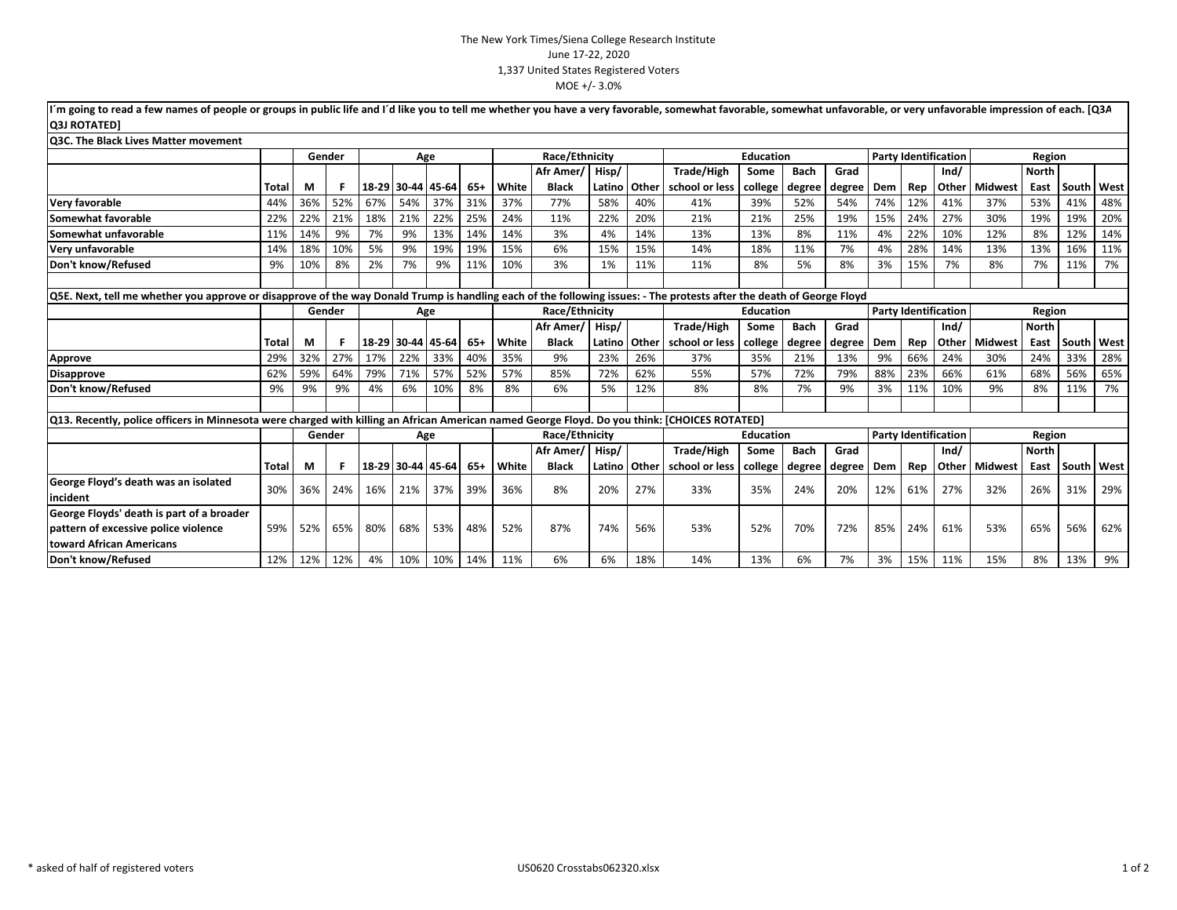| I'm going to read a few names of people or groups in public life and I'd like you to tell me whether you have a very favorable, somewhat favorable, somewhat unfavorable, or very unfavorable impression of each. [Q3A] |              |        |        |     |                   |     |       |                |                   |        |       |                   |                  |             |        |     |     |                             |                        |              |       |      |
|-------------------------------------------------------------------------------------------------------------------------------------------------------------------------------------------------------------------------|--------------|--------|--------|-----|-------------------|-----|-------|----------------|-------------------|--------|-------|-------------------|------------------|-------------|--------|-----|-----|-----------------------------|------------------------|--------------|-------|------|
| <b>Q3J ROTATED1</b>                                                                                                                                                                                                     |              |        |        |     |                   |     |       |                |                   |        |       |                   |                  |             |        |     |     |                             |                        |              |       |      |
| <b>O3C. The Black Lives Matter movement</b>                                                                                                                                                                             |              |        |        |     |                   |     |       |                |                   |        |       |                   |                  |             |        |     |     |                             |                        |              |       |      |
|                                                                                                                                                                                                                         |              | Gender |        |     | Age               |     |       |                | Race/Ethnicity    |        |       |                   | <b>Education</b> |             |        |     |     | <b>Party Identification</b> |                        | Region       |       |      |
|                                                                                                                                                                                                                         |              |        |        |     |                   |     |       |                | Afr Amer/ Hisp/   |        |       | <b>Trade/High</b> | Some             | <b>Bach</b> | Grad   |     |     | Ind/                        |                        | <b>North</b> |       |      |
|                                                                                                                                                                                                                         | Total        | М      | F      |     | 18-29 30-44 45-64 |     | $65+$ | White          | <b>Black</b>      | Latino | Other | school or less    | college          | degree      | degree | Dem | Rep |                             | <b>Other Midwest</b>   | East         | South | West |
| Very favorable                                                                                                                                                                                                          | 44%          | 36%    | 52%    | 67% | 54%               | 37% | 31%   | 37%            | 77%               | 58%    | 40%   | 41%               | 39%              | 52%         | 54%    | 74% | 12% | 41%                         | 37%                    | 53%          | 41%   | 48%  |
| Somewhat favorable                                                                                                                                                                                                      | 22%          | 22%    | 21%    | 18% | 21%               | 22% | 25%   | 24%            | 11%               | 22%    | 20%   | 21%               | 21%              | 25%         | 19%    | 15% | 24% | 27%                         | 30%                    | 19%          | 19%   | 20%  |
| Somewhat unfavorable                                                                                                                                                                                                    | 11%          | 14%    | 9%     | 7%  | 9%                | 13% | 14%   | 14%            | 3%                | 4%     | 14%   | 13%               | 13%              | 8%          | 11%    | 4%  | 22% | 10%                         | 12%                    | 8%           | 12%   | 14%  |
| Very unfavorable                                                                                                                                                                                                        | 14%          | 18%    | 10%    | 5%  | 9%                | 19% | 19%   | 15%            | 6%                | 15%    | 15%   | 14%               | 18%              | 11%         | 7%     | 4%  | 28% | 14%                         | 13%                    | 13%          | 16%   | 11%  |
| Don't know/Refused                                                                                                                                                                                                      | 9%           | 10%    | 8%     | 2%  | 7%                | 9%  | 11%   | 10%            | 3%                | 1%     | 11%   | 11%               | 8%               | 5%          | 8%     | 3%  | 15% | 7%                          | 8%                     | 7%           | 11%   | 7%   |
|                                                                                                                                                                                                                         |              |        |        |     |                   |     |       |                |                   |        |       |                   |                  |             |        |     |     |                             |                        |              |       |      |
| Q5E. Next, tell me whether you approve or disapprove of the way Donald Trump is handling each of the following issues: - The protests after the death of George Floyd                                                   |              |        |        |     |                   |     |       |                |                   |        |       |                   |                  |             |        |     |     |                             |                        |              |       |      |
|                                                                                                                                                                                                                         |              |        | Gender |     | Age               |     |       | Race/Ethnicity |                   |        |       | <b>Education</b>  |                  |             |        |     |     | <b>Party Identification</b> |                        | Region       |       |      |
|                                                                                                                                                                                                                         |              |        |        |     |                   |     |       |                | Afr Amer/ Hisp/   |        |       | <b>Trade/High</b> | Some             | <b>Bach</b> | Grad   |     |     | Ind/                        |                        | <b>North</b> |       |      |
|                                                                                                                                                                                                                         | <b>Total</b> | М      | F      |     | 18-29 30-44 45-64 |     | $65+$ | White          | <b>Black</b>      | Latino | Other | school or less    | college          | degree      | degree | Dem | Rep |                             | <b>Other Midwest</b>   | East         | South | West |
| Approve                                                                                                                                                                                                                 | 29%          | 32%    | 27%    | 17% | 22%               | 33% | 40%   | 35%            | 9%                | 23%    | 26%   | 37%               | 35%              | 21%         | 13%    | 9%  | 66% | 24%                         | 30%                    | 24%          | 33%   | 28%  |
| <b>Disapprove</b>                                                                                                                                                                                                       | 62%          | 59%    | 64%    | 79% | 71%               | 57% | 52%   | 57%            | 85%               | 72%    | 62%   | 55%               | 57%              | 72%         | 79%    | 88% | 23% | 66%                         | 61%                    | 68%          | 56%   | 65%  |
| Don't know/Refused                                                                                                                                                                                                      | 9%           | 9%     | 9%     | 4%  | 6%                | 10% | 8%    | 8%             | 6%                | 5%     | 12%   | 8%                | 8%               | 7%          | 9%     | 3%  | 11% | 10%                         | 9%                     | 8%           | 11%   | 7%   |
|                                                                                                                                                                                                                         |              |        |        |     |                   |     |       |                |                   |        |       |                   |                  |             |        |     |     |                             |                        |              |       |      |
| Q13. Recently, police officers in Minnesota were charged with killing an African American named George Floyd. Do you think: [CHOICES ROTATED]                                                                           |              |        |        |     |                   |     |       |                |                   |        |       |                   |                  |             |        |     |     |                             |                        |              |       |      |
|                                                                                                                                                                                                                         |              | Gender |        |     | Age               |     |       |                | Race/Ethnicity    |        |       |                   | <b>Education</b> |             |        |     |     | <b>Party Identification</b> |                        | Region       |       |      |
|                                                                                                                                                                                                                         |              |        |        |     |                   |     |       |                | Afr Amer/   Hisp/ |        |       | <b>Trade/High</b> | Some             | <b>Bach</b> | Grad   |     |     | Ind/                        |                        | <b>North</b> |       |      |
|                                                                                                                                                                                                                         | Total        | М      | F      |     | 18-29 30-44 45-64 |     | $65+$ | White          | <b>Black</b>      | Latino | Other | school or less    | college          | degree      | degree | Dem | Rep |                             | <b>Other   Midwest</b> | East         | South | West |
| George Floyd's death was an isolated                                                                                                                                                                                    |              |        |        |     |                   |     |       |                |                   |        |       |                   |                  |             |        |     |     |                             |                        |              |       |      |
| incident                                                                                                                                                                                                                | 30%          | 36%    | 24%    | 16% | 21%               | 37% | 39%   | 36%            | 8%                | 20%    | 27%   | 33%               | 35%              | 24%         | 20%    | 12% | 61% | 27%                         | 32%                    | 26%          | 31%   | 29%  |
| George Floyds' death is part of a broader                                                                                                                                                                               |              |        |        |     |                   |     |       |                |                   |        |       |                   |                  |             |        |     |     |                             |                        |              |       |      |
| pattern of excessive police violence                                                                                                                                                                                    | 59%          | 52%    | 65%    | 80% | 68%               | 53% | 48%   | 52%            | 87%               | 74%    | 56%   | 53%               | 52%              | 70%         | 72%    | 85% | 24% | 61%                         | 53%                    | 65%          | 56%   | 62%  |
| toward African Americans                                                                                                                                                                                                |              |        |        |     |                   |     |       |                |                   |        |       |                   |                  |             |        |     |     |                             |                        |              |       |      |
| Don't know/Refused                                                                                                                                                                                                      | 12%          | 12%    | 12%    | 4%  | 10%               | 10% | 14%   | 11%            | 6%                | 6%     | 18%   | 14%               | 13%              | 6%          | 7%     | 3%  | 15% | 11%                         | 15%                    | 8%           | 13%   | 9%   |